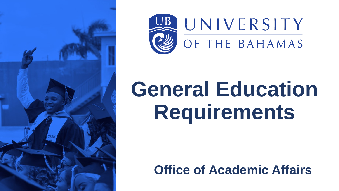



# **General Education Requirements**

#### **Office of Academic Affairs**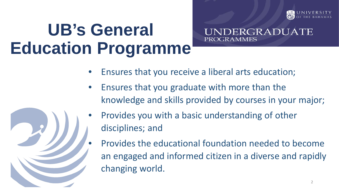

#### **UB's General Education Programme**

ERGRADUATE PROGRAMMES

- Ensures that you receive a liberal arts education;
- Ensures that you graduate with more than the knowledge and skills provided by courses in your major;
- Provides you with a basic understanding of other disciplines; and
	- Provides the educational foundation needed to become an engaged and informed citizen in a diverse and rapidly changing world.

2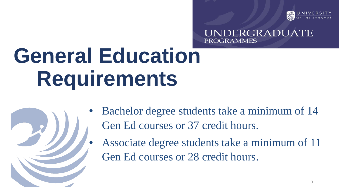

NDERGRADUATE PROGRAMMES

## **General Education Requirements**



- Bachelor degree students take a minimum of 14 Gen Ed courses or 37 credit hours.
- Associate degree students take a minimum of 11 Gen Ed courses or 28 credit hours.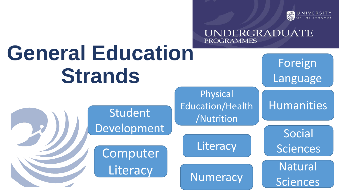

Foreign

UNDERGRADUATE

Language

**Humanities** 

Social

Sciences

**General Education Strands**

> Student Development

Computer **Literacy** 

Physical Education/Health /Nutrition

**PROGRAMMES** 

**Literacy** 

**Numeracy** 

4 Natural **Sciences**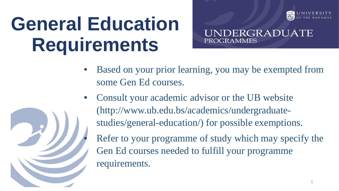### **General Education Requirements**



UNDERGRADUATE **PROGRAMMES** 

- Based on your prior learning, you may be exempted from some Gen Ed courses.
- Consult your academic advisor or the UB website (http://www.ub.edu.bs/academics/undergraduatestudies/general-education/) for possible exemptions. Refer to your programme of study which may specify the Gen Ed courses needed to fulfill your programme requirements.

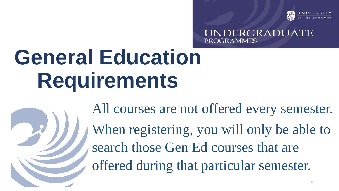

NDERGRADUATE **PROGRAMMES** 

## **General Education Requirements**

All courses are not offered every semester. When registering, you will only be able to search those Gen Ed courses that are offered during that particular semester.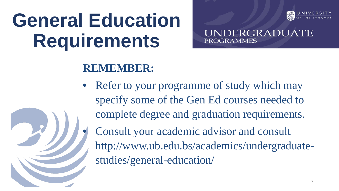### **General Education Requirements**



NDERGRADUATE **PROGRAMMES** 

#### **REMEMBER:**

Refer to your programme of study which may specify some of the Gen Ed courses needed to complete degree and graduation requirements. • Consult your academic advisor and consult http://www.ub.edu.bs/academics/undergraduatestudies/general-education/